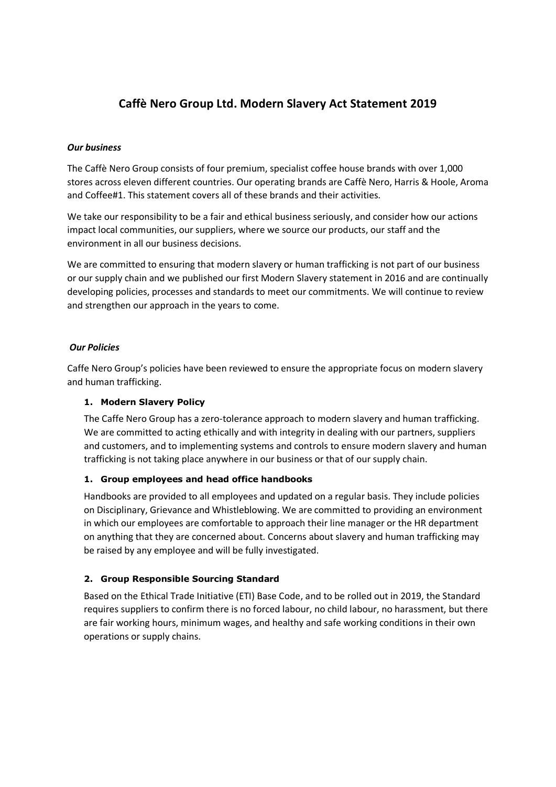# **Caffè Nero Group Ltd. Modern Slavery Act Statement 2019**

#### *Our business*

The Caffè Nero Group consists of four premium, specialist coffee house brands with over 1,000 stores across eleven different countries. Our operating brands are Caffè Nero, Harris & Hoole, Aroma and Coffee#1. This statement covers all of these brands and their activities.

We take our responsibility to be a fair and ethical business seriously, and consider how our actions impact local communities, our suppliers, where we source our products, our staff and the environment in all our business decisions.

We are committed to ensuring that modern slavery or human trafficking is not part of our business or our supply chain and we published our first Modern Slavery statement in 2016 and are continually developing policies, processes and standards to meet our commitments. We will continue to review and strengthen our approach in the years to come.

#### *Our Policies*

Caffe Nero Group's policies have been reviewed to ensure the appropriate focus on modern slavery and human trafficking.

#### **1. Modern Slavery Policy**

The Caffe Nero Group has a zero-tolerance approach to modern slavery and human trafficking. We are committed to acting ethically and with integrity in dealing with our partners, suppliers and customers, and to implementing systems and controls to ensure modern slavery and human trafficking is not taking place anywhere in our business or that of our supply chain.

#### **1. Group employees and head office handbooks**

Handbooks are provided to all employees and updated on a regular basis. They include policies on Disciplinary, Grievance and Whistleblowing. We are committed to providing an environment in which our employees are comfortable to approach their line manager or the HR department on anything that they are concerned about. Concerns about slavery and human trafficking may be raised by any employee and will be fully investigated.

#### **2. Group Responsible Sourcing Standard**

Based on the Ethical Trade Initiative (ETI) Base Code, and to be rolled out in 2019, the Standard requires suppliers to confirm there is no forced labour, no child labour, no harassment, but there are fair working hours, minimum wages, and healthy and safe working conditions in their own operations or supply chains.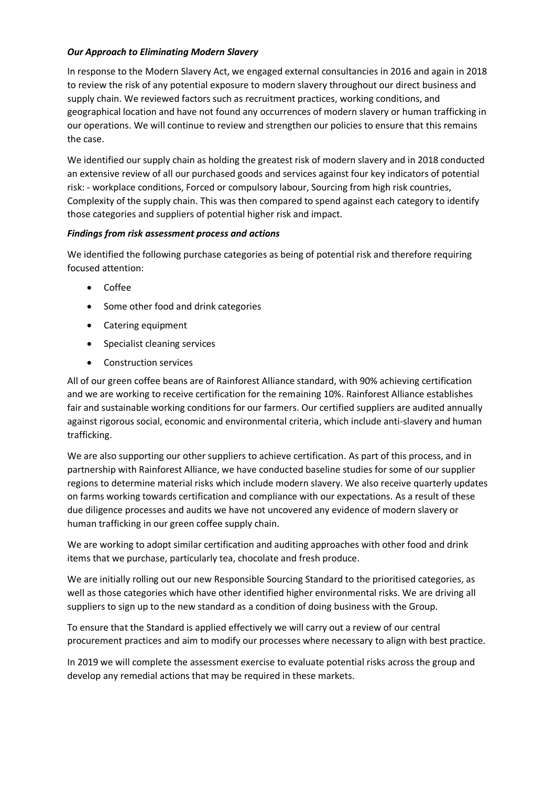## *Our Approach to Eliminating Modern Slavery*

In response to the Modern Slavery Act, we engaged external consultancies in 2016 and again in 2018 to review the risk of any potential exposure to modern slavery throughout our direct business and supply chain. We reviewed factors such as recruitment practices, working conditions, and geographical location and have not found any occurrences of modern slavery or human trafficking in our operations. We will continue to review and strengthen our policies to ensure that this remains the case.

We identified our supply chain as holding the greatest risk of modern slavery and in 2018 conducted an extensive review of all our purchased goods and services against four key indicators of potential risk: - workplace conditions, Forced or compulsory labour, Sourcing from high risk countries, Complexity of the supply chain. This was then compared to spend against each category to identify those categories and suppliers of potential higher risk and impact.

## *Findings from risk assessment process and actions*

We identified the following purchase categories as being of potential risk and therefore requiring focused attention:

- Coffee
- Some other food and drink categories
- Catering equipment
- Specialist cleaning services
- Construction services

All of our green coffee beans are of Rainforest Alliance standard, with 90% achieving certification and we are working to receive certification for the remaining 10%. Rainforest Alliance establishes fair and sustainable working conditions for our farmers. Our certified suppliers are audited annually against rigorous social, economic and environmental criteria, which include anti-slavery and human trafficking.

We are also supporting our other suppliers to achieve certification. As part of this process, and in partnership with Rainforest Alliance, we have conducted baseline studies for some of our supplier regions to determine material risks which include modern slavery. We also receive quarterly updates on farms working towards certification and compliance with our expectations. As a result of these due diligence processes and audits we have not uncovered any evidence of modern slavery or human trafficking in our green coffee supply chain.

We are working to adopt similar certification and auditing approaches with other food and drink items that we purchase, particularly tea, chocolate and fresh produce.

We are initially rolling out our new Responsible Sourcing Standard to the prioritised categories, as well as those categories which have other identified higher environmental risks. We are driving all suppliers to sign up to the new standard as a condition of doing business with the Group.

To ensure that the Standard is applied effectively we will carry out a review of our central procurement practices and aim to modify our processes where necessary to align with best practice.

In 2019 we will complete the assessment exercise to evaluate potential risks across the group and develop any remedial actions that may be required in these markets.